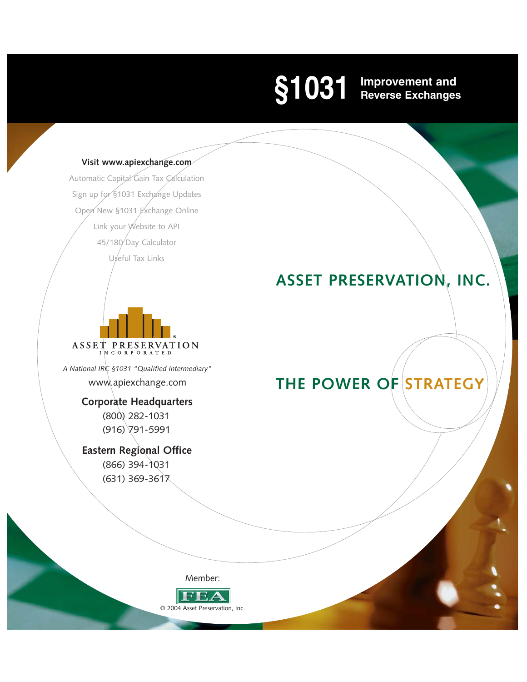# **Improvement and Reverse Exchanges §1031**

#### **Visit www.apiexchange.com**

Automatic Capital Gain Tax Calculation Sign up for §1031 Exchange Updates Open New §1031 Exchange Online Link your Website to API 45/180 Day Calculator Useful Tax Links

# ASSET PRESERVATION

*A National IRC §1031 "Qualified Intermediary"* www.apiexchange.com

# **Corporate Headquarters**

(800) 282-1031 (916) 791-5991

**Eastern Regional Office** (866) 394-1031

(631) 369-3617

**ASSET PRESERVATION, INC.**

# **THE POWER OF STRATEGY**

Member:

FE © 2004 Asset Preservation, Inc.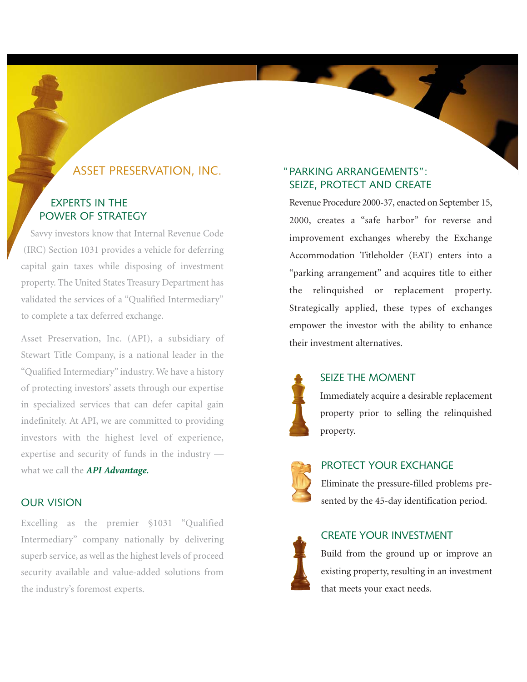# ASSET PRESERVATION, INC.

#### EXPERTS IN THE POWER OF STRATEGY

Savvy investors know that Internal Revenue Code (IRC) Section 1031 provides a vehicle for deferring capital gain taxes while disposing of investment property. The United States Treasury Department has validated the services of a "Qualified Intermediary" to complete a tax deferred exchange.

Asset Preservation, Inc. (API), a subsidiary of Stewart Title Company, is a national leader in the "Qualified Intermediary" industry. We have a history of protecting investors' assets through our expertise in specialized services that can defer capital gain indefinitely. At API, we are committed to providing investors with the highest level of experience, expertise and security of funds in the industry what we call the *API Advantage.*

#### OUR VISION

Excelling as the premier §1031 "Qualified Intermediary" company nationally by delivering superb service, as well as the highest levels of proceed security available and value-added solutions from the industry's foremost experts.

#### PARKING ARRANGEMENTS": "SEIZE, PROTECT AND CREATE

 $\overline{\phantom{a}}$ 

Revenue Procedure 2000-37, enacted on September 15, 2000, creates a "safe harbor" for reverse and improvement exchanges whereby the Exchange Accommodation Titleholder (EAT) enters into a "parking arrangement" and acquires title to either the relinquished or replacement property. Strategically applied, these types of exchanges empower the investor with the ability to enhance their investment alternatives.



#### SEIZE THE MOMENT

Immediately acquire a desirable replacement property prior to selling the relinquished property.



#### PROTECT YOUR EXCHANGE

Eliminate the pressure-filled problems presented by the 45-day identification period.



#### CREATE YOUR INVESTMENT

Build from the ground up or improve an existing property, resulting in an investment that meets your exact needs.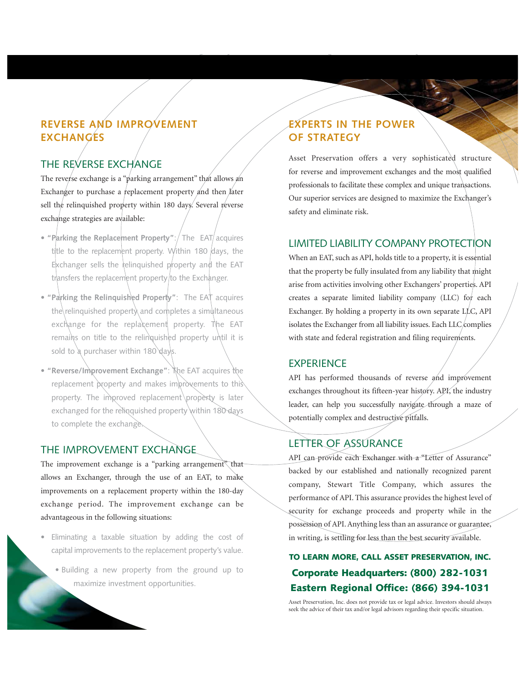# **REVERSE AND IMPROVEMENT EXCHANGES**

# THE REVERSE EXCHANGE

The reverse exchange is a "parking arrangement" that allows an Exchanger to purchase a replacement property and then later sell the relinquished property within 180 days. Several reverse exchange strategies are available:

- "Parking the Replacement Property": The EAT acquires title to the replacement property. Within 180 days, the Exchanger sells the relinquished property and the EAT transfers the replacement property/to the Exchanger.
- **"Parking the Relinquished Property"**: The EAT acquires the relinquished property and completes a simultaneous exchange for the replacement property. The EAT remains on title to the relinquished property until it is sold to a purchaser within 180 days.
- **"Reverse/Improvement Exchange"**: The EAT acquires the replacement property and makes improvements to this property. The improved replacement property is later exchanged for the relinquished property within 180 days to complete the exchange.

#### THE IMPROVEMENT EXCHANGE

The improvement exchange is a "parking arrangement" that allows an Exchanger, through the use of an EAT, to make improvements on a replacement property within the 180-day exchange period. The improvement exchange can be advantageous in the following situations:

- **•** Eliminating a taxable situation by adding the cost of capital improvements to the replacement property's value.
	- Building a new property from the ground up to maximize investment opportunities.

## **EXPERTS IN THE POWER OF STRATEGY**

Asset Preservation offers a very sophisticated structure for reverse and improvement exchanges and the most qualified professionals to facilitate these complex and unique transactions. Our superior services are designed to maximize the Exchanger's safety and eliminate risk.

#### LIMITED LIABILITY COMPANY PROTECTION

When an EAT, such as API, holds title to a property, it is essential that the property be fully insulated from any liability that might arise from activities involving other Exchangers' properties. API creates a separate limited liability company (LLC) for each Exchanger. By holding a property in its own separate LLC, API isolates the Exchanger from all liability issues. Each  $LLC$  complies with state and federal registration and filing requirements.

#### **EXPERIENCE**

API has performed thousands of reverse and improvement exchanges throughout its fifteen-year history. API, the industry leader, can help you successfully navigate through a maze of potentially complex and destructive pitfalls.

#### LETTER OF ASSURANCE

API can provide each Exchanger with a "Letter of Assurance" backed by our established and nationally recognized parent company, Stewart Title Company, which assures the performance of API. This assurance provides the highest level of security for exchange proceeds and property while in the possession of API. Anything less than an assurance or guarantee, in writing, is settling for less than the best security available.

# TO LEARN MORE, CALL ASSET PRESERVATION, INC. Corporate Headquarters: (800) 282-1031 Eastern Regional Office: (866) 394-1031

Asset Preservation, Inc. does not provide tax or legal advice. Investors should always seek the advice of their tax and/or legal advisors regarding their specific situation.